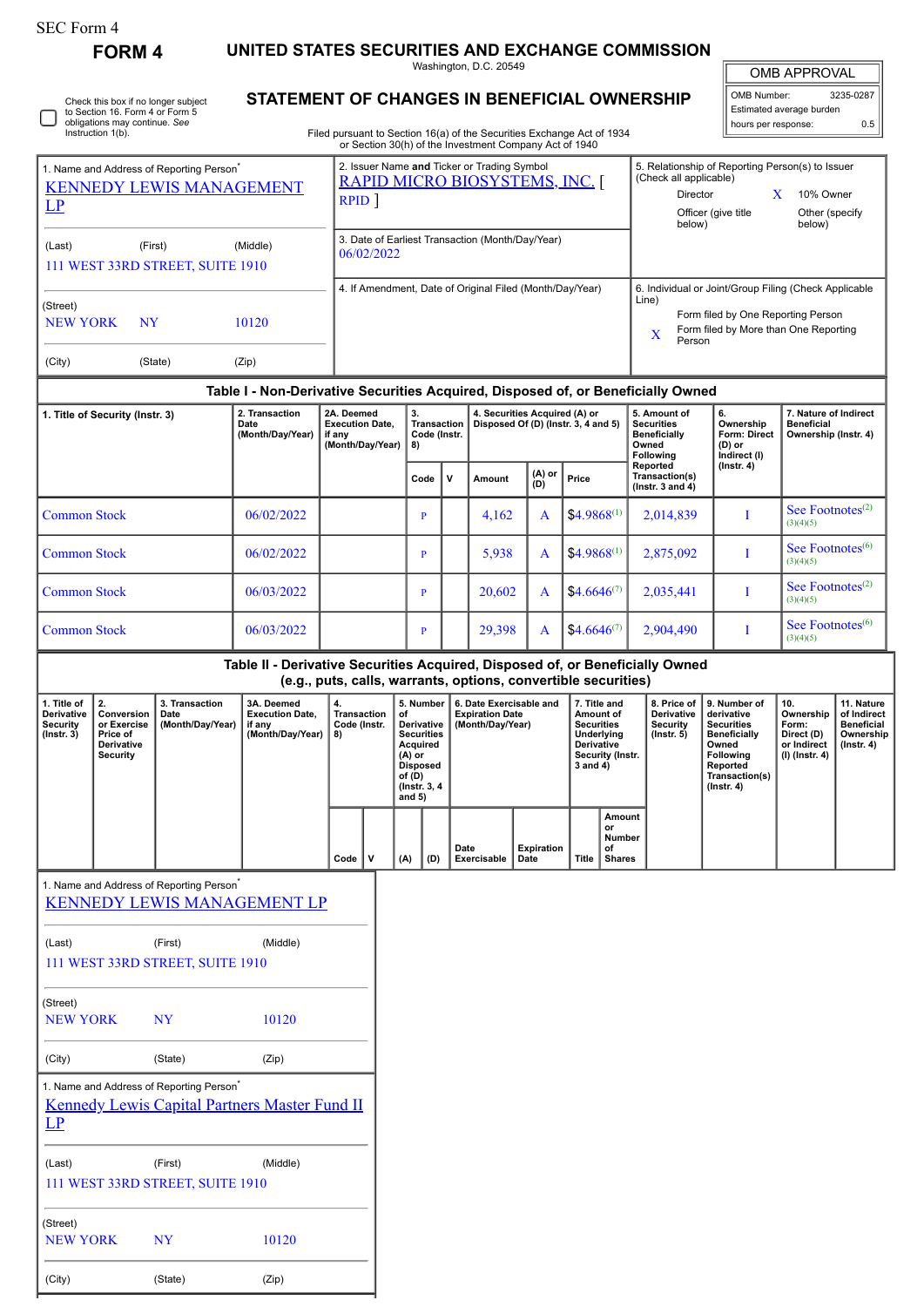| SEC Form 4 |  |
|------------|--|
|------------|--|

**FORM 4 UNITED STATES SECURITIES AND EXCHANGE COMMISSION**

Washington, D.C. 20549

|  | Check this box if no longer subject<br>to Section 16. Form 4 or Form 5<br>obligations may continue. See<br>Instruction 1(b). |
|--|------------------------------------------------------------------------------------------------------------------------------|
|--|------------------------------------------------------------------------------------------------------------------------------|

(Street)

NEW YORK NY 10120

(City) (State) (Zip)

## **STATEMENT OF CHANGES IN BENEFICIAL OWNERSHIP**

Filed pursuant to Section 16(a) of the Securities Exchange Act of 1934 or Section 30(h) of the Investment Company Act of 1940

| <b>OMB APPROVAL</b> |           |  |  |  |
|---------------------|-----------|--|--|--|
|                     |           |  |  |  |
| OMB Number:         | 3235-0287 |  |  |  |

Estimated average burden hours per response: 0.5

| 1. Name and Address of Reporting Person <sup>7</sup><br><b>KENNEDY LEWIS MANAGEMENT</b><br>LP |                                                                              |                                                      |                                                                                                    | 2. Issuer Name and Ticker or Trading Symbol<br>RAPID MICRO BIOSYSTEMS, INC.<br>RPID <sup>1</sup> |                                                                    |                                                                                                                                                                                                                                              |     |                                                |              | 5. Relationship of Reporting Person(s) to Issuer<br>(Check all applicable)<br>Director<br>X<br>10% Owner<br>Officer (give title<br>Other (specify |                                                                                                                                                              |                                     |                 |                                                                                                                       |                                                                            |                                                                         |                                                                                                                                                |                                                                          |                                                                                 |
|-----------------------------------------------------------------------------------------------|------------------------------------------------------------------------------|------------------------------------------------------|----------------------------------------------------------------------------------------------------|--------------------------------------------------------------------------------------------------|--------------------------------------------------------------------|----------------------------------------------------------------------------------------------------------------------------------------------------------------------------------------------------------------------------------------------|-----|------------------------------------------------|--------------|---------------------------------------------------------------------------------------------------------------------------------------------------|--------------------------------------------------------------------------------------------------------------------------------------------------------------|-------------------------------------|-----------------|-----------------------------------------------------------------------------------------------------------------------|----------------------------------------------------------------------------|-------------------------------------------------------------------------|------------------------------------------------------------------------------------------------------------------------------------------------|--------------------------------------------------------------------------|---------------------------------------------------------------------------------|
| (Last)                                                                                        | (First)                                                                      | 111 WEST 33RD STREET, SUITE 1910                     | (Middle)                                                                                           |                                                                                                  |                                                                    | 3. Date of Earliest Transaction (Month/Day/Year)<br>06/02/2022                                                                                                                                                                               |     |                                                |              |                                                                                                                                                   |                                                                                                                                                              |                                     | below)          |                                                                                                                       | below)                                                                     |                                                                         |                                                                                                                                                |                                                                          |                                                                                 |
| (Street)<br><b>NEW YORK</b>                                                                   | <b>NY</b>                                                                    |                                                      | 10120                                                                                              |                                                                                                  | 4. If Amendment, Date of Original Filed (Month/Day/Year)           |                                                                                                                                                                                                                                              |     |                                                |              |                                                                                                                                                   | 6. Individual or Joint/Group Filing (Check Applicable<br>Line)<br>Form filed by One Reporting Person<br>Form filed by More than One Reporting<br>X<br>Person |                                     |                 |                                                                                                                       |                                                                            |                                                                         |                                                                                                                                                |                                                                          |                                                                                 |
| (City)                                                                                        |                                                                              | (State)                                              | (Zip)                                                                                              |                                                                                                  |                                                                    |                                                                                                                                                                                                                                              |     |                                                |              |                                                                                                                                                   |                                                                                                                                                              |                                     |                 |                                                                                                                       |                                                                            |                                                                         |                                                                                                                                                |                                                                          |                                                                                 |
|                                                                                               |                                                                              |                                                      | Table I - Non-Derivative Securities Acquired, Disposed of, or Beneficially Owned<br>2. Transaction |                                                                                                  |                                                                    |                                                                                                                                                                                                                                              |     |                                                |              |                                                                                                                                                   |                                                                                                                                                              |                                     |                 |                                                                                                                       |                                                                            | 5. Amount of                                                            |                                                                                                                                                |                                                                          |                                                                                 |
|                                                                                               | 1. Title of Security (Instr. 3)                                              |                                                      | Date<br>(Month/Day/Year)                                                                           |                                                                                                  | 2A. Deemed<br><b>Execution Date,</b><br>if any<br>(Month/Day/Year) |                                                                                                                                                                                                                                              |     | 3.<br><b>Transaction</b><br>Code (Instr.<br>8) |              | 4. Securities Acquired (A) or                                                                                                                     |                                                                                                                                                              | Disposed Of (D) (Instr. 3, 4 and 5) |                 |                                                                                                                       | <b>Securities</b><br><b>Beneficially</b><br>Owned<br>Following<br>Reported |                                                                         | 6.<br>Ownership<br><b>Form: Direct</b><br>(D) or<br>Indirect (I)<br>$($ Instr. 4 $)$                                                           | 7. Nature of Indirect<br><b>Beneficial</b><br>Ownership (Instr. 4)       |                                                                                 |
|                                                                                               |                                                                              |                                                      |                                                                                                    |                                                                                                  |                                                                    |                                                                                                                                                                                                                                              |     | Code                                           | $\mathsf{v}$ | Amount                                                                                                                                            |                                                                                                                                                              | (A) or<br>(D)                       | Price           |                                                                                                                       |                                                                            | Transaction(s)<br>( $lnstr. 3 and 4$ )                                  |                                                                                                                                                |                                                                          |                                                                                 |
| <b>Common Stock</b>                                                                           |                                                                              |                                                      | 06/02/2022                                                                                         |                                                                                                  |                                                                    |                                                                                                                                                                                                                                              |     | P                                              |              | 4,162                                                                                                                                             |                                                                                                                                                              | A                                   | $$4.9868^{(1)}$ |                                                                                                                       |                                                                            | 2,014,839                                                               | I                                                                                                                                              | See Footnotes <sup>(2)</sup><br>(3)(4)(5)                                |                                                                                 |
| <b>Common Stock</b>                                                                           |                                                                              |                                                      | 06/02/2022                                                                                         |                                                                                                  |                                                                    |                                                                                                                                                                                                                                              |     | P                                              |              | 5,938                                                                                                                                             |                                                                                                                                                              | A                                   | $$4.9868^{(1)}$ |                                                                                                                       |                                                                            | 2,875,092                                                               | I                                                                                                                                              | See Footnotes <sup>(6)</sup><br>(3)(4)(5)                                |                                                                                 |
|                                                                                               | <b>Common Stock</b><br>06/03/2022                                            |                                                      |                                                                                                    |                                                                                                  |                                                                    |                                                                                                                                                                                                                                              | P   |                                                | 20,602       |                                                                                                                                                   | A                                                                                                                                                            | $$4.6646^{(7)}$                     |                 |                                                                                                                       | 2,035,441                                                                  | I                                                                       | See Footnotes $(2)$<br>(3)(4)(5)                                                                                                               |                                                                          |                                                                                 |
| <b>Common Stock</b><br>06/03/2022                                                             |                                                                              |                                                      |                                                                                                    |                                                                                                  |                                                                    |                                                                                                                                                                                                                                              | P   |                                                | 29,398       |                                                                                                                                                   | A                                                                                                                                                            | $$4.6646^{(7)}$                     |                 |                                                                                                                       | 2,904,490                                                                  | I                                                                       | See Footnotes <sup>(6)</sup><br>(3)(4)(5)                                                                                                      |                                                                          |                                                                                 |
|                                                                                               |                                                                              |                                                      | Table II - Derivative Securities Acquired, Disposed of, or Beneficially Owned                      |                                                                                                  |                                                                    |                                                                                                                                                                                                                                              |     |                                                |              |                                                                                                                                                   |                                                                                                                                                              |                                     |                 |                                                                                                                       |                                                                            |                                                                         |                                                                                                                                                |                                                                          |                                                                                 |
| 1. Title of<br>Derivative<br>Security<br>$($ Instr. 3 $)$                                     | 2.<br>Conversion<br>or Exercise<br>Price of<br>Derivative<br><b>Security</b> | 3. Transaction<br>Date<br>(Month/Day/Year)           | 3A. Deemed<br><b>Execution Date,</b><br>if any<br>(Month/Day/Year)                                 |                                                                                                  | 4.<br>8)                                                           | (e.g., puts, calls, warrants, options, convertible securities)<br>5. Number<br><b>Transaction</b><br>of<br>Code (Instr.<br>Derivative<br><b>Securities</b><br>Acquired<br>$(A)$ or<br><b>Disposed</b><br>of (D)<br>(Instr. 3, 4)<br>and $5)$ |     |                                                |              |                                                                                                                                                   | 6. Date Exercisable and<br><b>Expiration Date</b><br>(Month/Day/Year)                                                                                        |                                     |                 | 7. Title and<br>Amount of<br><b>Securities</b><br>Underlying<br><b>Derivative</b><br>Security (Instr.<br>$3$ and $4)$ |                                                                            | 8. Price of<br><b>Derivative</b><br><b>Security</b><br>$($ Instr. 5 $)$ | 9. Number of<br>derivative<br><b>Securities</b><br><b>Beneficially</b><br>Owned<br>Following<br>Reported<br>Transaction(s)<br>$($ Instr. 4 $)$ | 10.<br>Ownership<br>Form:<br>Direct (D)<br>or Indirect<br>(I) (Instr. 4) | 11. Nature<br>of Indirect<br><b>Beneficial</b><br>Ownership<br>$($ Instr. 4 $)$ |
|                                                                                               |                                                                              |                                                      |                                                                                                    |                                                                                                  | $Code$   V                                                         |                                                                                                                                                                                                                                              | (A) | (D)                                            | Date         | Exercisable                                                                                                                                       | Date                                                                                                                                                         | Expiration                          | Title           | <b>Amount</b><br>or<br>Number<br>οf<br>Shares                                                                         |                                                                            |                                                                         |                                                                                                                                                |                                                                          |                                                                                 |
|                                                                                               |                                                                              | 1. Name and Address of Reporting Person <sup>*</sup> | <b>KENNEDY LEWIS MANAGEMENT LP</b>                                                                 |                                                                                                  |                                                                    |                                                                                                                                                                                                                                              |     |                                                |              |                                                                                                                                                   |                                                                                                                                                              |                                     |                 |                                                                                                                       |                                                                            |                                                                         |                                                                                                                                                |                                                                          |                                                                                 |
| (Last)                                                                                        |                                                                              | (First)<br>111 WEST 33RD STREET, SUITE 1910          | (Middle)                                                                                           |                                                                                                  |                                                                    |                                                                                                                                                                                                                                              |     |                                                |              |                                                                                                                                                   |                                                                                                                                                              |                                     |                 |                                                                                                                       |                                                                            |                                                                         |                                                                                                                                                |                                                                          |                                                                                 |
| (Street)<br><b>NEW YORK</b>                                                                   |                                                                              | <b>NY</b>                                            | 10120                                                                                              |                                                                                                  |                                                                    |                                                                                                                                                                                                                                              |     |                                                |              |                                                                                                                                                   |                                                                                                                                                              |                                     |                 |                                                                                                                       |                                                                            |                                                                         |                                                                                                                                                |                                                                          |                                                                                 |
| (City)                                                                                        |                                                                              | (State)                                              | (Zip)                                                                                              |                                                                                                  |                                                                    |                                                                                                                                                                                                                                              |     |                                                |              |                                                                                                                                                   |                                                                                                                                                              |                                     |                 |                                                                                                                       |                                                                            |                                                                         |                                                                                                                                                |                                                                          |                                                                                 |
| LP                                                                                            |                                                                              | 1. Name and Address of Reporting Person <sup>*</sup> | <b>Kennedy Lewis Capital Partners Master Fund II</b>                                               |                                                                                                  |                                                                    |                                                                                                                                                                                                                                              |     |                                                |              |                                                                                                                                                   |                                                                                                                                                              |                                     |                 |                                                                                                                       |                                                                            |                                                                         |                                                                                                                                                |                                                                          |                                                                                 |
| (Last)                                                                                        |                                                                              | (First)<br>111 WEST 33RD STREET, SUITE 1910          | (Middle)                                                                                           |                                                                                                  |                                                                    |                                                                                                                                                                                                                                              |     |                                                |              |                                                                                                                                                   |                                                                                                                                                              |                                     |                 |                                                                                                                       |                                                                            |                                                                         |                                                                                                                                                |                                                                          |                                                                                 |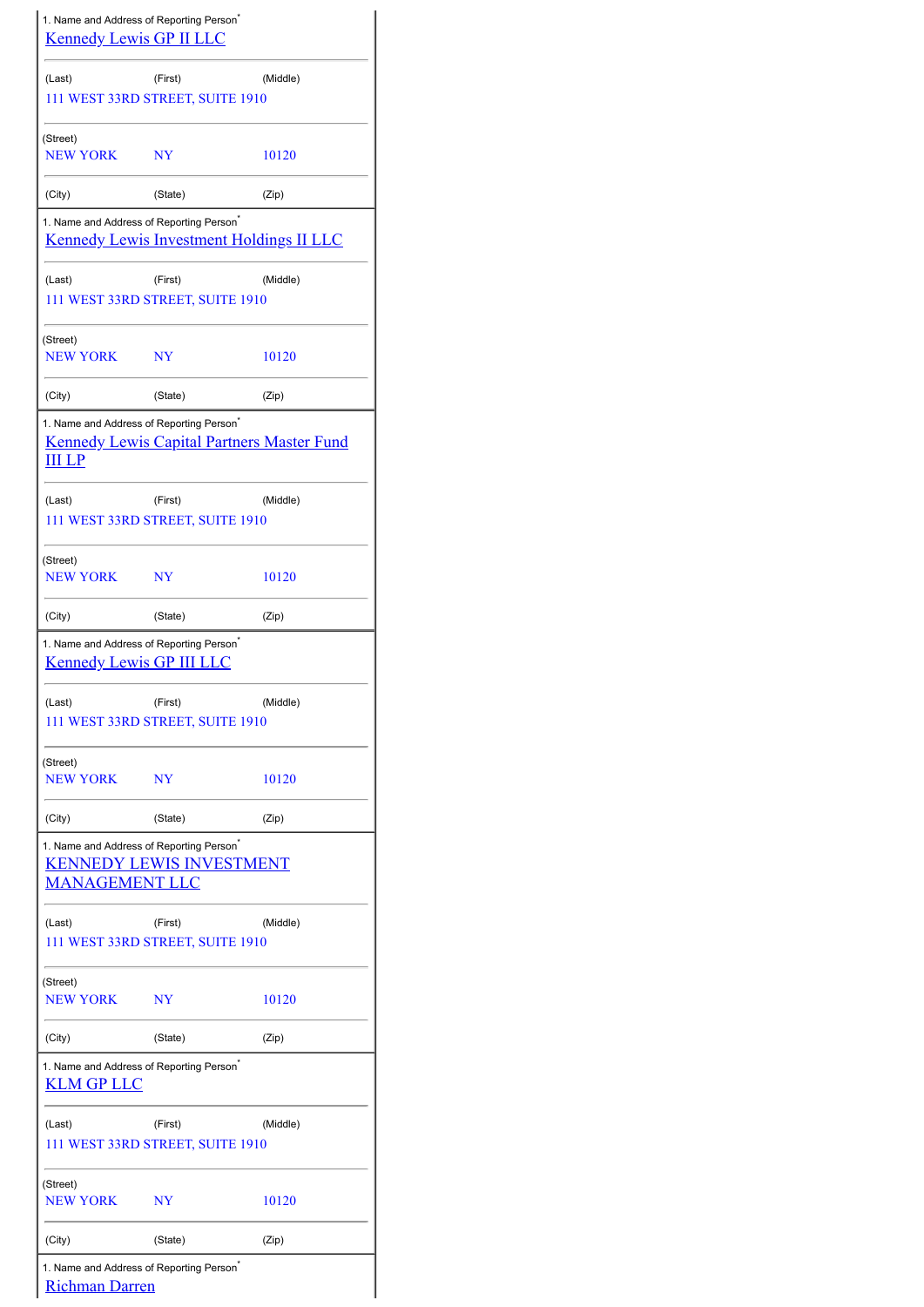| 1. Name and Address of Reporting Person <sup>®</sup><br><b>Kennedy Lewis GP II LLC</b>  |                                             |                                                   |  |  |  |  |  |
|-----------------------------------------------------------------------------------------|---------------------------------------------|---------------------------------------------------|--|--|--|--|--|
| (Last)                                                                                  | (First)<br>111 WEST 33RD STREET, SUITE 1910 | (Middle)                                          |  |  |  |  |  |
| (Street)<br><b>NEW YORK</b>                                                             | NY                                          | 10120                                             |  |  |  |  |  |
| (City)                                                                                  | (State)                                     | (Zip)                                             |  |  |  |  |  |
| 1. Name and Address of Reporting Person <sup>*</sup>                                    |                                             | <b>Kennedy Lewis Investment Holdings II LLC</b>   |  |  |  |  |  |
| (Last)                                                                                  | (First)<br>111 WEST 33RD STREET, SUITE 1910 | (Middle)                                          |  |  |  |  |  |
| (Street)<br><b>NEW YORK</b>                                                             | NY                                          | 10120                                             |  |  |  |  |  |
| (City)                                                                                  | (State)                                     | (Zip)                                             |  |  |  |  |  |
| 1. Name and Address of Reporting Person <sup>*</sup><br><u>III LP</u>                   |                                             | <b>Kennedy Lewis Capital Partners Master Fund</b> |  |  |  |  |  |
| (Last)                                                                                  | (First)<br>111 WEST 33RD STREET, SUITE 1910 | (Middle)                                          |  |  |  |  |  |
| (Street)<br><b>NEW YORK</b>                                                             | NY                                          | 10120                                             |  |  |  |  |  |
| (City)                                                                                  | (State)                                     | (Zip)                                             |  |  |  |  |  |
| 1. Name and Address of Reporting Person <sup>®</sup><br><b>Kennedy Lewis GP III LLC</b> |                                             |                                                   |  |  |  |  |  |
| (Last)                                                                                  | (First)<br>111 WEST 33RD STREET, SUITE 1910 | (Middle)                                          |  |  |  |  |  |
| (Street)<br><b>NEW YORK</b>                                                             | NY                                          | 10120                                             |  |  |  |  |  |
| (City)                                                                                  | (State)                                     | (Zip)                                             |  |  |  |  |  |
| 1. Name and Address of Reporting Person <sup>*</sup><br><b>MANAGEMENT LLC</b>           | <b>KENNEDY LEWIS INVESTMENT</b>             |                                                   |  |  |  |  |  |
| (Last)                                                                                  | (First)<br>111 WEST 33RD STREET, SUITE 1910 | (Middle)                                          |  |  |  |  |  |
| (Street)<br><b>NEW YORK</b>                                                             | NY                                          | 10120                                             |  |  |  |  |  |
| (City)                                                                                  | (State)                                     | (Zip)                                             |  |  |  |  |  |
| 1. Name and Address of Reporting Person <sup>*</sup><br><u>KLM GP LLC</u>               |                                             |                                                   |  |  |  |  |  |
| (Last)                                                                                  | (First)<br>111 WEST 33RD STREET, SUITE 1910 | (Middle)                                          |  |  |  |  |  |
| (Street)<br><b>NEW YORK</b>                                                             | NY                                          | 10120                                             |  |  |  |  |  |
| (City)                                                                                  | (State)                                     | (Zip)                                             |  |  |  |  |  |
| 1. Name and Address of Reporting Person <sup>®</sup><br><b>Richman Darren</b>           |                                             |                                                   |  |  |  |  |  |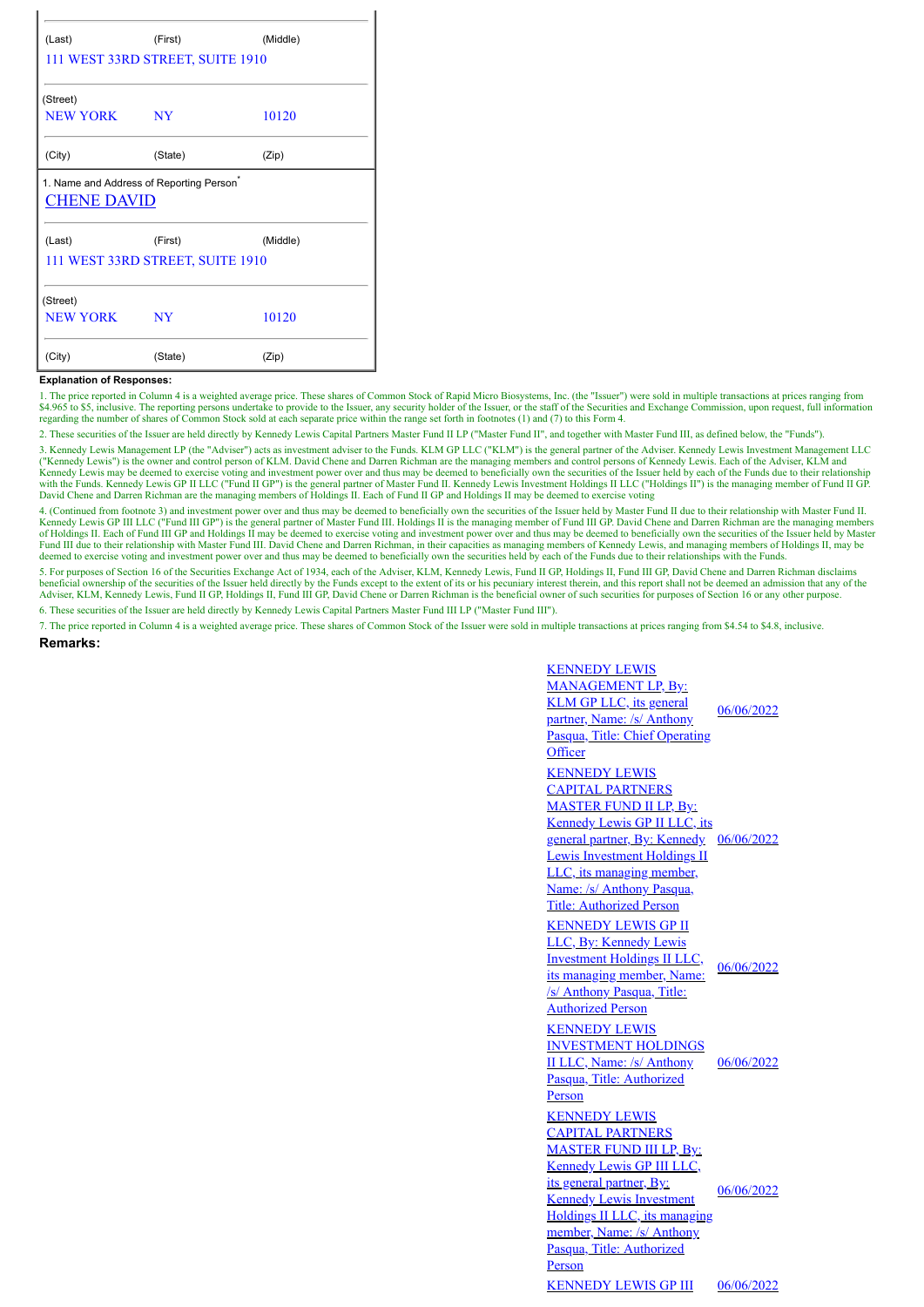| (Last)                                               | (First)                          | (Middle) |  |  |  |  |  |  |
|------------------------------------------------------|----------------------------------|----------|--|--|--|--|--|--|
| 111 WEST 33RD STREET, SUITE 1910                     |                                  |          |  |  |  |  |  |  |
| (Street)                                             |                                  |          |  |  |  |  |  |  |
| <b>NEW YORK</b>                                      | <b>NY</b>                        | 10120    |  |  |  |  |  |  |
| (City)                                               | (State)                          | (Zip)    |  |  |  |  |  |  |
| 1. Name and Address of Reporting Person <sup>7</sup> |                                  |          |  |  |  |  |  |  |
|                                                      |                                  |          |  |  |  |  |  |  |
| <b>CHENE DAVID</b>                                   |                                  |          |  |  |  |  |  |  |
| (Last)                                               | (First)                          | (Middle) |  |  |  |  |  |  |
|                                                      | 111 WEST 33RD STREET, SUITE 1910 |          |  |  |  |  |  |  |
| (Street)                                             |                                  |          |  |  |  |  |  |  |
| NEW YORK                                             | NY                               | 10120    |  |  |  |  |  |  |

## **Explanation of Responses:**

1. The price reported in Column 4 is a weighted average price. These shares of Common Stock of Rapid Micro Biosystems, Inc. (the "Issuer") were sold in multiple transactions at prices ranging from \$4.965 to \$5, inclusive. The reporting persons undertake to provide to the Issuer, any security holder of the Issuer, or the staff of the Securities and Exchange Commission, upon request, full information regarding the number of shares of Common Stock sold at each separate price within the range set forth in footnotes (1) and (7) to this Form 4.

2. These securities of the Issuer are held directly by Kennedy Lewis Capital Partners Master Fund II LP ("Master Fund II", and together with Master Fund III, as defined below, the "Funds").

3. Kennedy Lewis Management LP (the "Adviser") acts as investment adviser to the Funds. KLM GP LLC ("KLM") is the general partner of the Adviser. Kennedy Lewis Investment Management LLC ("Kennedy Lewis") is the owner and control person of KLM. David Chene and Darren Richman are the managing members and control persons of Kennedy Lewis. Each of the Adviser, KLM and Kennedy Lewis may be deemed to exercise voting and investment power over and thus may be deemed to beneficially own the securities of the Issuer held by each of the Funds due to their relationship<br>with the Funds. Kennedy L David Chene and Darren Richman are the managing members of Holdings II. Each of Fund II GP and Holdings II may be deemed to exercise voting

4. (Continued from footnote 3) and investment power over and thus may be deemed to beneficially own the securities of the Issuer held by Master Fund II due to their relationship with Master Fund II. Kennedy Lewis GP III LLC ("Fund III GP") is the general partner of Master Fund III. Holdings II is the managing member of Fund III GP. David Chene and Darren Richman are the managing members of Holdings II. Each of Fund III GP and Holdings II may be deemed to exercise voting and investment power over and thus may be deemed to beneficially own the securities of the Issuer held by Master<br>Fund III due to their re deemed to exercise voting and investment power over and thus may be deemed to beneficially own the securities held by each of the Funds due to their relationships with the Funds.

5. For purposes of Section 16 of the Securities Exchange Act of 1934, each of the Adviser, KLM, Kennedy Lewis, Fund II GP, Holdings II, Fund III GP, David Chene and Darren Richman disclaims<br>beneficial ownership of the secu Adviser, KLM, Kennedy Lewis, Fund II GP, Holdings II, Fund III GP, David Chene or Darren Richman is the beneficial owner of such securities for purposes of Section 16 or any other purpose.

6. These securities of the Issuer are held directly by Kennedy Lewis Capital Partners Master Fund III LP ("Master Fund III").

7. The price reported in Column 4 is a weighted average price. These shares of Common Stock of the Issuer were sold in multiple transactions at prices ranging from \$4.54 to \$4.8, inclusive. **Remarks:**

| <b>KENNEDY LEWIS</b><br><b>MANAGEMENT LP, By:</b><br><b>KLM GP LLC</b> , its general<br>partner, Name: /s/ Anthony<br>Pasqua, Title: Chief Operating<br>Officer                                                                                                                           | 06/06/2022 |
|-------------------------------------------------------------------------------------------------------------------------------------------------------------------------------------------------------------------------------------------------------------------------------------------|------------|
| <b>KENNEDY LEWIS</b><br><b>CAPITAL PARTNERS</b><br><b>MASTER FUND II LP, By:</b><br><b>Kennedy Lewis GP II LLC, its</b><br>general partner, By: Kennedy<br>Lewis Investment Holdings II<br>LLC, its managing member,<br>Name: /s/ Anthony Pasqua,<br><b>Title: Authorized Person</b>      | 06/06/2022 |
| <b>KENNEDY LEWIS GP II</b><br>LLC, By: Kennedy Lewis<br><b>Investment Holdings II LLC,</b><br>its managing member, Name:<br>/s/ Anthony Pasqua, Title:<br><b>Authorized Person</b>                                                                                                        | 06/06/2022 |
| <b>KENNEDY LEWIS</b><br><b>INVESTMENT HOLDINGS</b><br>II LLC, Name: /s/ Anthony<br>Pasqua, Title: Authorized<br>Person                                                                                                                                                                    | 06/06/2022 |
| <b>KENNEDY LEWIS</b><br><b>CAPITAL PARTNERS</b><br><b>MASTER FUND III LP, By:</b><br><b>Kennedy Lewis GP III LLC,</b><br>its general partner, By:<br><b>Kennedy Lewis Investment</b><br>Holdings II LLC, its managing<br>member, Name: /s/ Anthony<br>Pasqua, Title: Authorized<br>Person | 06/06/2022 |
| <b>KENNEDY LEWIS GP III</b>                                                                                                                                                                                                                                                               | 06/06/2022 |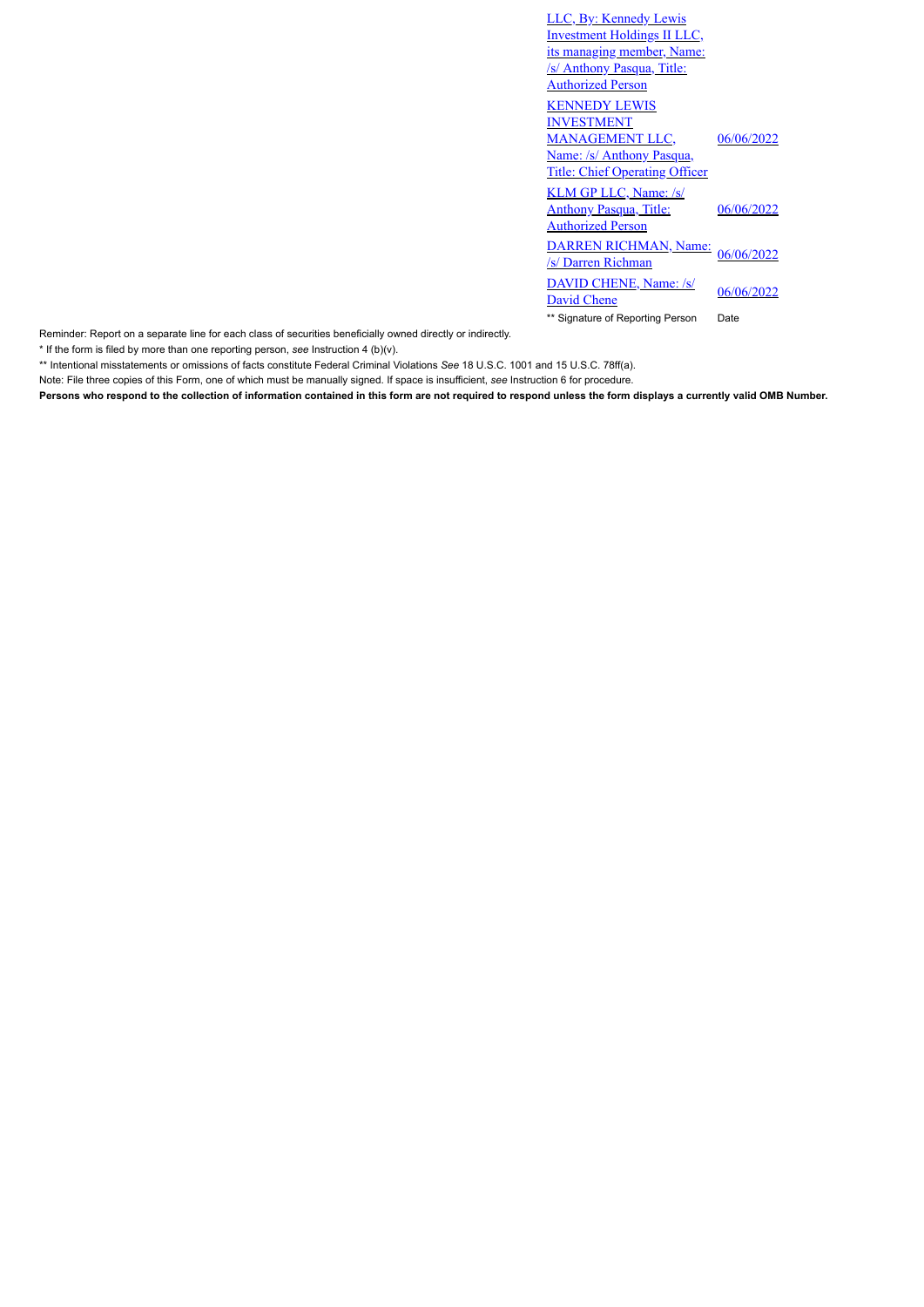| LLC, By: Kennedy Lewis<br><b>Investment Holdings II LLC,</b>                              |            |
|-------------------------------------------------------------------------------------------|------------|
| its managing member, Name:<br><u>/s/ Anthony Pasqua, Title:</u>                           |            |
| <b>Authorized Person</b>                                                                  |            |
| <b>KENNEDY LEWIS</b><br><b>INVESTMENT</b>                                                 |            |
| <b>MANAGEMENT LLC,</b>                                                                    | 06/06/2022 |
| Name: /s/ Anthony Pasqua,<br><b>Title: Chief Operating Officer</b>                        |            |
| <b>KLM GP LLC, Name: /s/</b><br><b>Anthony Pasqua, Title:</b><br><b>Authorized Person</b> | 06/06/2022 |
| DARREN RICHMAN, Name:<br>/s/ Darren Richman                                               | 06/06/2022 |
| <b>DAVID CHENE, Name: /s/</b><br><b>David Chene</b>                                       | 06/06/2022 |
| ** Signature of Reporting Person                                                          | Date       |

Reminder: Report on a separate line for each class of securities beneficially owned directly or indirectly.

\* If the form is filed by more than one reporting person, *see* Instruction 4 (b)(v).

\*\* Intentional misstatements or omissions of facts constitute Federal Criminal Violations *See* 18 U.S.C. 1001 and 15 U.S.C. 78ff(a).

Note: File three copies of this Form, one of which must be manually signed. If space is insufficient, *see* Instruction 6 for procedure.

**Persons who respond to the collection of information contained in this form are not required to respond unless the form displays a currently valid OMB Number.**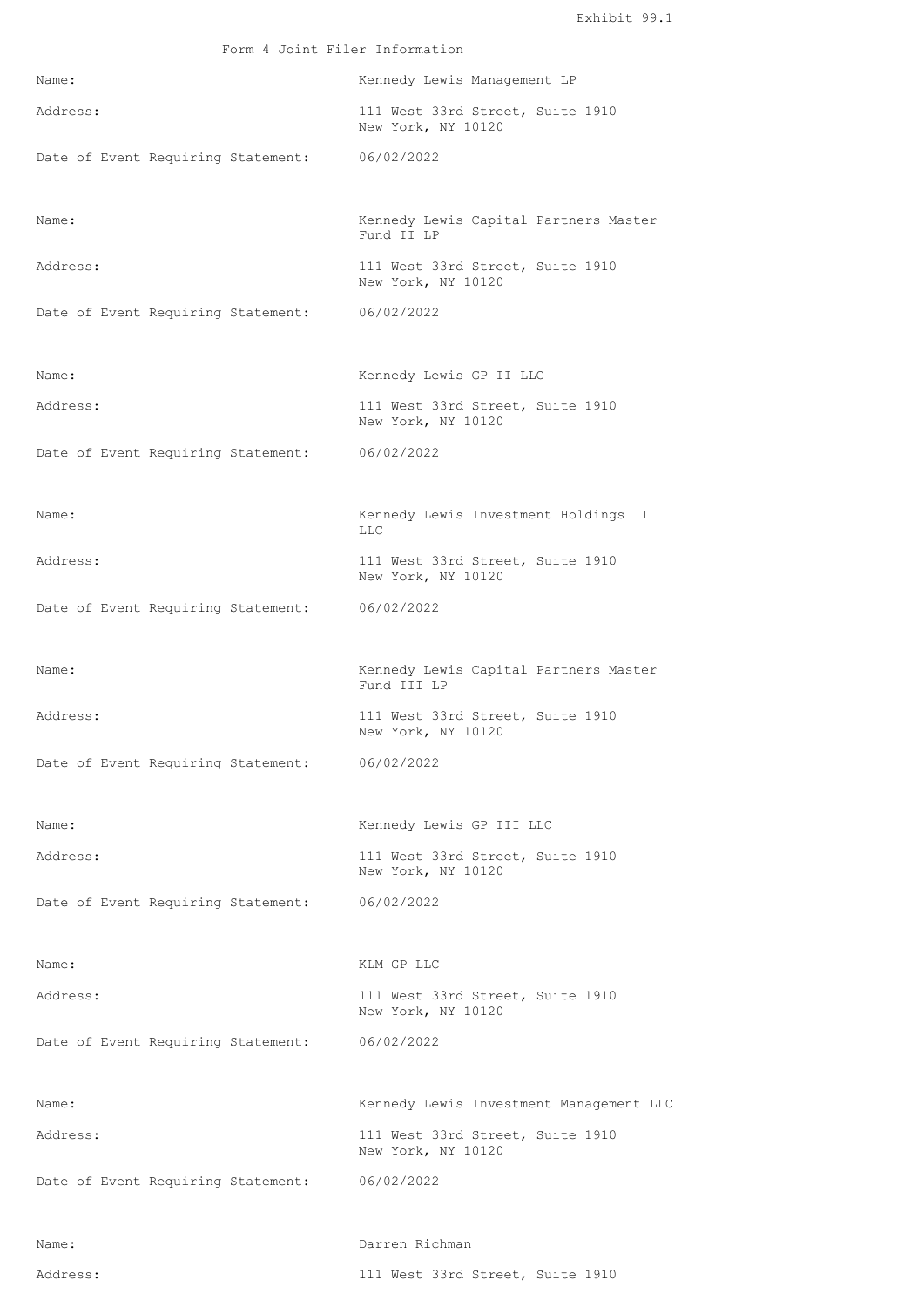| Form 4 Joint Filer Information                |                                                        |  |  |  |  |  |  |
|-----------------------------------------------|--------------------------------------------------------|--|--|--|--|--|--|
| Name:                                         | Kennedy Lewis Management LP                            |  |  |  |  |  |  |
| Address:                                      | 111 West 33rd Street, Suite 1910<br>New York, NY 10120 |  |  |  |  |  |  |
| Date of Event Requiring Statement:            | 06/02/2022                                             |  |  |  |  |  |  |
| Name:                                         | Kennedy Lewis Capital Partners Master<br>Fund II LP    |  |  |  |  |  |  |
| Address:                                      | 111 West 33rd Street, Suite 1910<br>New York, NY 10120 |  |  |  |  |  |  |
| Date of Event Requiring Statement:            | 06/02/2022                                             |  |  |  |  |  |  |
| Name:                                         | Kennedy Lewis GP II LLC                                |  |  |  |  |  |  |
| Address:                                      | 111 West 33rd Street, Suite 1910<br>New York, NY 10120 |  |  |  |  |  |  |
| Date of Event Requiring Statement: 06/02/2022 |                                                        |  |  |  |  |  |  |
| Name:                                         | Kennedy Lewis Investment Holdings II<br><b>LLC</b>     |  |  |  |  |  |  |
| Address:                                      | 111 West 33rd Street, Suite 1910<br>New York, NY 10120 |  |  |  |  |  |  |
| Date of Event Requiring Statement:            | 06/02/2022                                             |  |  |  |  |  |  |
| Name:                                         | Kennedy Lewis Capital Partners Master<br>Fund III LP   |  |  |  |  |  |  |
| Address:                                      | 111 West 33rd Street, Suite 1910<br>New York, NY 10120 |  |  |  |  |  |  |
| Date of Event Requiring Statement: 06/02/2022 |                                                        |  |  |  |  |  |  |
| Name:                                         | Kennedy Lewis GP III LLC                               |  |  |  |  |  |  |
| Address:                                      | 111 West 33rd Street, Suite 1910<br>New York, NY 10120 |  |  |  |  |  |  |
| Date of Event Requiring Statement:            | 06/02/2022                                             |  |  |  |  |  |  |
| Name:                                         | KLM GP LLC                                             |  |  |  |  |  |  |
| Address:                                      | 111 West 33rd Street, Suite 1910<br>New York, NY 10120 |  |  |  |  |  |  |
| Date of Event Requiring Statement:            | 06/02/2022                                             |  |  |  |  |  |  |
| Name:                                         | Kennedy Lewis Investment Management LLC                |  |  |  |  |  |  |
| Address:                                      | 111 West 33rd Street, Suite 1910<br>New York, NY 10120 |  |  |  |  |  |  |
| Date of Event Requiring Statement:            | 06/02/2022                                             |  |  |  |  |  |  |
| Name:                                         | Darren Richman                                         |  |  |  |  |  |  |

```
Address: 111 West 33rd Street, Suite 1910
```